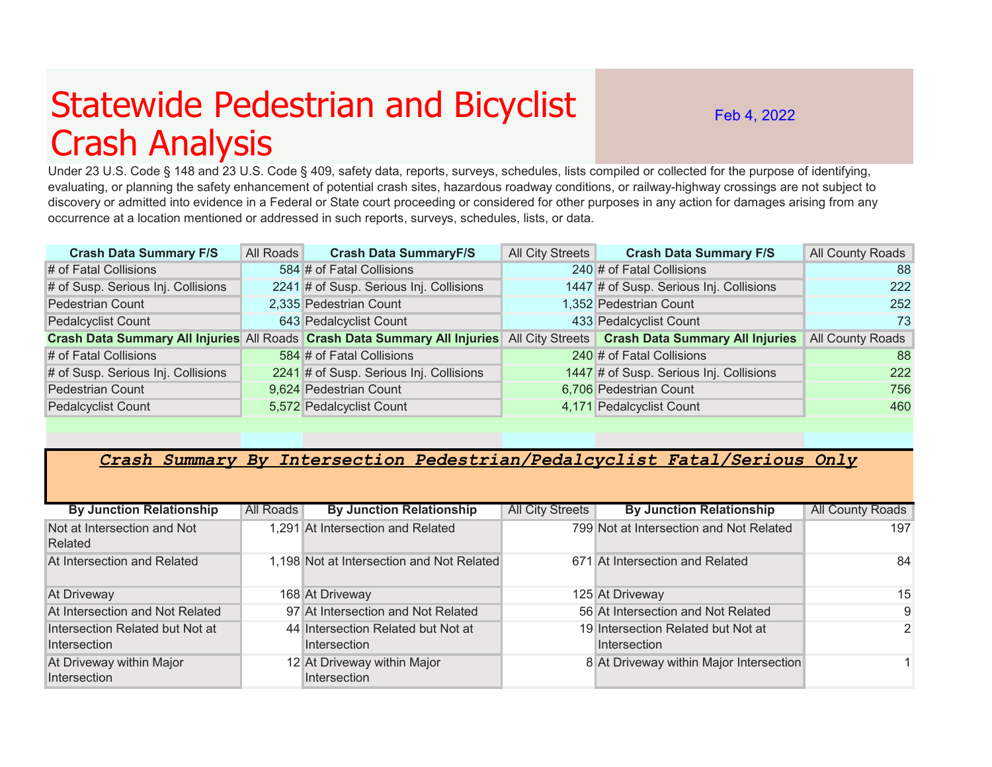## Statewide Pedestrian and Bicyclist Crash Analysis

Feb 4, 2022

Under 23 U.S. Code § 148 and 23 U.S. Code § 409, safety data, reports, surveys, schedules, lists compiled or collected for the purpose of identifying, evaluating, or planning the safety enhancement of potential crash sites, hazardous roadway conditions, or railway-highway crossings are not subject to discovery or admitted into evidence in a Federal or State court proceeding or considered for other purposes in any action for damages arising from any occurrence at a location mentioned or addressed in such reports, surveys, schedules, lists, or data.

| <b>Crash Data Summary F/S</b>      | All Roads | <b>Crash Data SummaryF/S</b>            | All City Streets | <b>Crash Data Summary F/S</b>                                                                                              | All County Roads |
|------------------------------------|-----------|-----------------------------------------|------------------|----------------------------------------------------------------------------------------------------------------------------|------------------|
| # of Fatal Collisions              |           | 584 # of Fatal Collisions               |                  | 240 # of Fatal Collisions                                                                                                  | 88               |
| # of Susp. Serious Inj. Collisions |           | 2241 # of Susp. Serious Inj. Collisions |                  | 1447 # of Susp. Serious Inj. Collisions                                                                                    | 222              |
| <b>Pedestrian Count</b>            |           | 2,335 Pedestrian Count                  |                  | 1,352 Pedestrian Count                                                                                                     | 252              |
| <b>Pedalcyclist Count</b>          |           | 643 Pedalcyclist Count                  |                  | 433 Pedalcyclist Count                                                                                                     | 73               |
|                                    |           |                                         |                  | Crash Data Summary All Injuries All Roads Crash Data Summary All Injuries All City Streets Crash Data Summary All Injuries | All County Roads |
| # of Fatal Collisions              |           | 584 # of Fatal Collisions               |                  | 240 # of Fatal Collisions                                                                                                  | 88               |
| # of Susp. Serious Inj. Collisions |           | 2241 # of Susp. Serious Inj. Collisions |                  | 1447 # of Susp. Serious Inj. Collisions                                                                                    | 222              |
| <b>Pedestrian Count</b>            |           | 9,624 Pedestrian Count                  |                  | 6,706 Pedestrian Count                                                                                                     | 756              |
| <b>Pedalcyclist Count</b>          |           | 5,572 Pedalcyclist Count                |                  | 4,171 Pedalcyclist Count                                                                                                   | 460              |

## *Crash Summary By Intersection Pedestrian/Pedalcyclist Fatal/Serious Only*

| <b>By Junction Relationship</b>          | All Roads | <b>By Junction Relationship</b>             | <b>All City Streets</b> | <b>By Junction Relationship</b>         | <b>All County Roads</b> |
|------------------------------------------|-----------|---------------------------------------------|-------------------------|-----------------------------------------|-------------------------|
| Not at Intersection and Not<br>Related   |           | 1,291 At Intersection and Related           |                         | 799 Not at Intersection and Not Related | 197                     |
| At Intersection and Related              |           | 1,198 Not at Intersection and Not Related   |                         | 671 At Intersection and Related         | 84                      |
| At Driveway                              |           | 168 At Driveway                             |                         | 125 At Driveway                         | 15                      |
| At Intersection and Not Related          |           | 97 At Intersection and Not Related          |                         | 56 At Intersection and Not Related      | 9                       |
| Intersection Related but Not at          |           | 44 Intersection Related but Not at          |                         | 19 Intersection Related but Not at      | 2                       |
| Intersection                             |           | Intersection                                |                         | Intersection                            |                         |
| At Driveway within Major<br>Intersection |           | 12 At Driveway within Major<br>Intersection |                         | 8 At Driveway within Major Intersection |                         |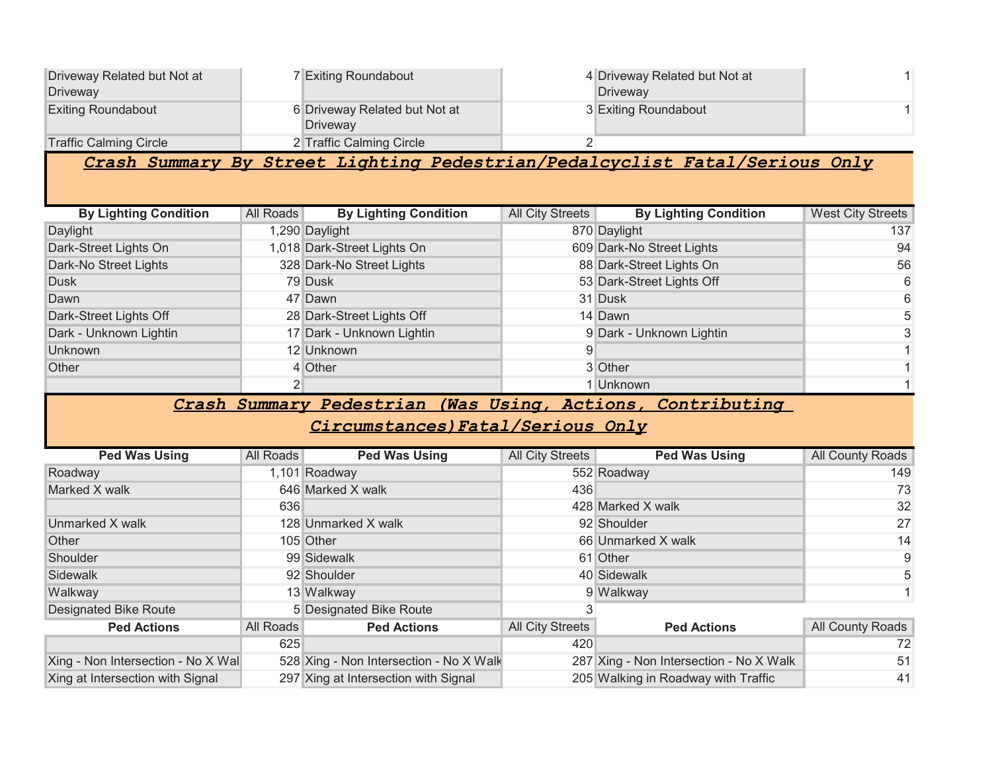| Driveway Related but Not at<br><b>Driveway</b>                              |                | 7 Exiting Roundabout                                                                            |                         | 4 Driveway Related but Not at<br>Driveway                                      |                          |  |
|-----------------------------------------------------------------------------|----------------|-------------------------------------------------------------------------------------------------|-------------------------|--------------------------------------------------------------------------------|--------------------------|--|
| <b>Exiting Roundabout</b>                                                   |                | 6 Driveway Related but Not at<br><b>Driveway</b>                                                |                         | 3 Exiting Roundabout                                                           |                          |  |
| <b>Traffic Calming Circle</b>                                               |                | 2 Traffic Calming Circle                                                                        | $\overline{2}$          |                                                                                |                          |  |
| Crash Summary By Street Lighting Pedestrian/Pedalcyclist Fatal/Serious Only |                |                                                                                                 |                         |                                                                                |                          |  |
| <b>By Lighting Condition</b>                                                | All Roads      | <b>By Lighting Condition</b>                                                                    | <b>All City Streets</b> | <b>By Lighting Condition</b>                                                   | <b>West City Streets</b> |  |
| Daylight                                                                    |                | 1,290 Daylight                                                                                  |                         | 870 Daylight                                                                   | 137                      |  |
| Dark-Street Lights On                                                       |                | 1,018 Dark-Street Lights On                                                                     |                         | 609 Dark-No Street Lights                                                      | 94                       |  |
| Dark-No Street Lights                                                       |                | 328 Dark-No Street Lights                                                                       |                         | 88 Dark-Street Lights On                                                       | 56                       |  |
| <b>Dusk</b>                                                                 |                | 79 Dusk                                                                                         |                         | 53 Dark-Street Lights Off                                                      | 6                        |  |
| Dawn                                                                        |                | 47 Dawn                                                                                         |                         | 31 Dusk                                                                        | 6                        |  |
| Dark-Street Lights Off                                                      |                | 28 Dark-Street Lights Off                                                                       |                         | 14 Dawn                                                                        | 5                        |  |
| Dark - Unknown Lightin                                                      |                | 17 Dark - Unknown Lightin                                                                       |                         | 9 Dark - Unknown Lightin                                                       | 3                        |  |
| <b>Unknown</b>                                                              |                | 12 Unknown                                                                                      | 9                       |                                                                                | $\mathbf{1}$             |  |
| Other                                                                       |                | 4 Other                                                                                         |                         | 3 Other                                                                        | $\mathbf{1}$             |  |
|                                                                             |                |                                                                                                 |                         |                                                                                |                          |  |
|                                                                             | $\overline{2}$ |                                                                                                 |                         | 1 Unknown                                                                      | $\mathbf{1}$             |  |
|                                                                             |                | Crash Summary Pedestrian (Was Using, Actions, Contributing<br>Circumstances) Fatal/Serious Only |                         |                                                                                |                          |  |
|                                                                             |                |                                                                                                 |                         |                                                                                |                          |  |
| <b>Ped Was Using</b>                                                        | All Roads      | <b>Ped Was Using</b>                                                                            | <b>All City Streets</b> | <b>Ped Was Using</b>                                                           | All County Roads         |  |
| Roadway                                                                     |                | 1,101 Roadway                                                                                   |                         | 552 Roadway                                                                    | 149                      |  |
| Marked X walk                                                               |                | 646 Marked X walk                                                                               | 436                     |                                                                                | 73                       |  |
|                                                                             | 636            |                                                                                                 |                         | 428 Marked X walk                                                              | 32                       |  |
| Unmarked X walk                                                             |                | 128 Unmarked X walk                                                                             |                         | 92 Shoulder                                                                    | 27                       |  |
| Other                                                                       |                | 105 Other                                                                                       |                         | 66 Unmarked X walk                                                             | 14                       |  |
| Shoulder                                                                    |                | 99 Sidewalk                                                                                     |                         | 61 Other                                                                       | 9                        |  |
| <b>Sidewalk</b>                                                             |                | 92 Shoulder                                                                                     |                         | 40 Sidewalk                                                                    | 5                        |  |
| Walkway                                                                     |                | 13 Walkway                                                                                      |                         | 9 Walkway                                                                      | $\overline{1}$           |  |
| <b>Designated Bike Route</b>                                                |                | 5 Designated Bike Route                                                                         | 3                       |                                                                                |                          |  |
| <b>Ped Actions</b>                                                          | All Roads      | <b>Ped Actions</b>                                                                              | <b>All City Streets</b> | <b>Ped Actions</b>                                                             | All County Roads         |  |
|                                                                             | 625            |                                                                                                 | 420                     |                                                                                | 72                       |  |
| Xing - Non Intersection - No X Wal<br>Xing at Intersection with Signal      |                | 528 Xing - Non Intersection - No X Walk<br>297 Xing at Intersection with Signal                 |                         | 287 Xing - Non Intersection - No X Walk<br>205 Walking in Roadway with Traffic | 51<br>41                 |  |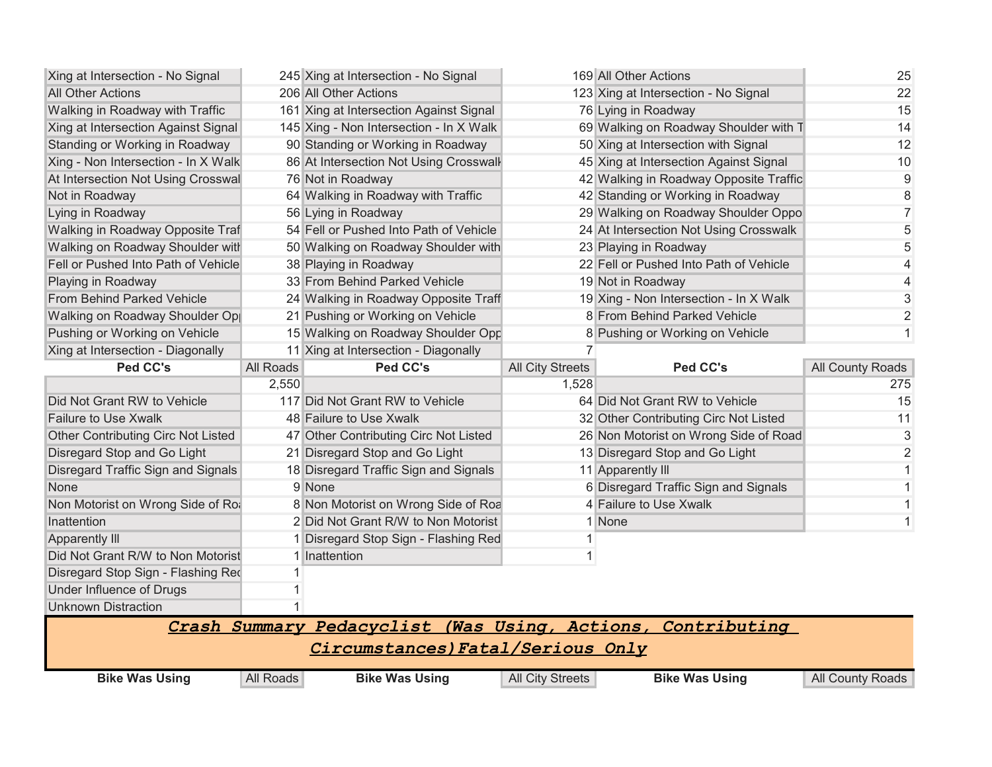| Xing at Intersection - No Signal          |           | 245 Xing at Intersection - No Signal           |                         | 169 All Other Actions                  | 25               |
|-------------------------------------------|-----------|------------------------------------------------|-------------------------|----------------------------------------|------------------|
| All Other Actions                         |           | 206 All Other Actions                          |                         | 123 Xing at Intersection - No Signal   | 22               |
| Walking in Roadway with Traffic           |           | 161 Xing at Intersection Against Signal        |                         | 76 Lying in Roadway                    | 15               |
| Xing at Intersection Against Signal       |           | 145 Xing - Non Intersection - In X Walk        |                         | 69 Walking on Roadway Shoulder with T  | 14               |
| Standing or Working in Roadway            |           | 90 Standing or Working in Roadway              |                         | 50 Xing at Intersection with Signal    | 12               |
| Xing - Non Intersection - In X Walk       |           | 86 At Intersection Not Using Crosswall         |                         | 45 Xing at Intersection Against Signal | 10               |
| At Intersection Not Using Crosswal        |           | 76 Not in Roadway                              |                         | 42 Walking in Roadway Opposite Traffic | $9\,$            |
| Not in Roadway                            |           | 64 Walking in Roadway with Traffic             |                         | 42 Standing or Working in Roadway      | 8                |
| Lying in Roadway                          |           | 56 Lying in Roadway                            |                         | 29 Walking on Roadway Shoulder Oppo    | $\overline{7}$   |
| Walking in Roadway Opposite Traf          |           | 54 Fell or Pushed Into Path of Vehicle         |                         | 24 At Intersection Not Using Crosswalk | 5                |
| Walking on Roadway Shoulder with          |           | 50 Walking on Roadway Shoulder with            |                         | 23 Playing in Roadway                  | 5                |
| Fell or Pushed Into Path of Vehicle       |           | 38 Playing in Roadway                          |                         | 22 Fell or Pushed Into Path of Vehicle | 4                |
| Playing in Roadway                        |           | 33 From Behind Parked Vehicle                  |                         | 19 Not in Roadway                      | 4                |
| From Behind Parked Vehicle                |           | 24 Walking in Roadway Opposite Traff           |                         | 19 Xing - Non Intersection - In X Walk | 3                |
| Walking on Roadway Shoulder Op            |           | 21 Pushing or Working on Vehicle               |                         | 8 From Behind Parked Vehicle           | $\overline{2}$   |
| Pushing or Working on Vehicle             |           | 15 Walking on Roadway Shoulder Opp             |                         | 8 Pushing or Working on Vehicle        | 1                |
| Xing at Intersection - Diagonally         |           | 11 Xing at Intersection - Diagonally           |                         |                                        |                  |
| Ped CC's                                  | All Roads | Ped CC's                                       | <b>All City Streets</b> | Ped CC's                               | All County Roads |
|                                           | 2,550     |                                                | 1,528                   |                                        | 275              |
|                                           |           |                                                |                         |                                        |                  |
| Did Not Grant RW to Vehicle               |           | 117 Did Not Grant RW to Vehicle                |                         | 64 Did Not Grant RW to Vehicle         | 15               |
| <b>Failure to Use Xwalk</b>               |           | 48 Failure to Use Xwalk                        |                         | 32 Other Contributing Circ Not Listed  | 11               |
| <b>Other Contributing Circ Not Listed</b> |           | 47 Other Contributing Circ Not Listed          |                         | 26 Non Motorist on Wrong Side of Road  | 3                |
| Disregard Stop and Go Light               |           | 21 Disregard Stop and Go Light                 |                         | 13 Disregard Stop and Go Light         | $\overline{2}$   |
| Disregard Traffic Sign and Signals        |           | 18 Disregard Traffic Sign and Signals          |                         | 11 Apparently III                      | 1                |
| None                                      |           | 9 None                                         |                         | 6 Disregard Traffic Sign and Signals   | 1                |
| Non Motorist on Wrong Side of Ro.         |           | 8 Non Motorist on Wrong Side of Roa            |                         | 4 Failure to Use Xwalk                 | 1                |
| Inattention                               |           | 2 Did Not Grant R/W to Non Motorist            |                         | 1 None                                 | $\mathbf{1}$     |
| Apparently III                            |           | 1 Disregard Stop Sign - Flashing Red           |                         |                                        |                  |
| Did Not Grant R/W to Non Motorist         |           | 1 Inattention                                  |                         |                                        |                  |
| Disregard Stop Sign - Flashing Red        |           |                                                |                         |                                        |                  |
| Under Influence of Drugs                  |           |                                                |                         |                                        |                  |
| <b>Unknown Distraction</b>                |           |                                                |                         |                                        |                  |
|                                           |           | Crash Summary Pedacyclist (Was Using, Actions, |                         | Contributing                           |                  |
|                                           |           |                                                |                         |                                        |                  |
|                                           |           | Circumstances) Fatal/Serious Only              |                         |                                        |                  |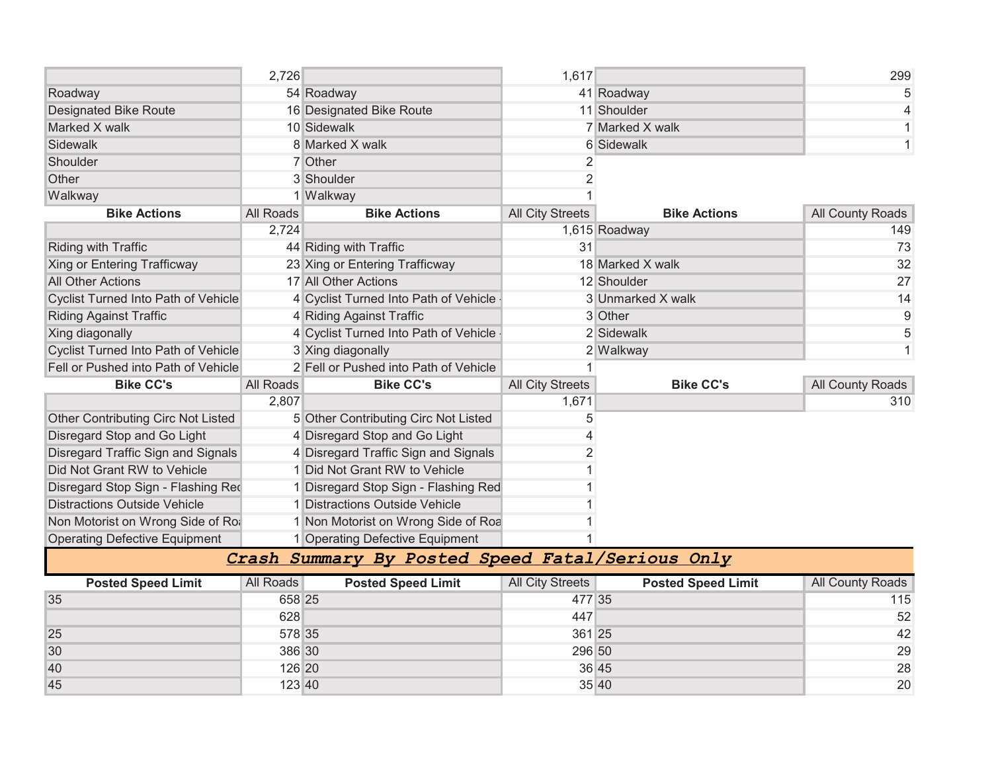|                                            | 2,726            |                                            | 1,617                   |                     | 299              |
|--------------------------------------------|------------------|--------------------------------------------|-------------------------|---------------------|------------------|
| Roadway                                    |                  | 54 Roadway                                 |                         | 41 Roadway          | 5                |
| <b>Designated Bike Route</b>               |                  | 16 Designated Bike Route                   |                         | 11 Shoulder         | 4                |
| Marked X walk                              |                  | 10 Sidewalk                                |                         | 7 Marked X walk     |                  |
| Sidewalk                                   |                  | 8 Marked X walk                            |                         | <b>6</b> Sidewalk   |                  |
| Shoulder                                   |                  | 7 Other                                    | 2                       |                     |                  |
| Other                                      |                  | 3 Shoulder                                 | $\overline{2}$          |                     |                  |
| Walkway                                    |                  | 1 Walkway                                  |                         |                     |                  |
| <b>Bike Actions</b>                        | <b>All Roads</b> | <b>Bike Actions</b>                        | <b>All City Streets</b> | <b>Bike Actions</b> | All County Roads |
|                                            | 2,724            |                                            |                         | 1,615 Roadway       | 149              |
| Riding with Traffic                        |                  | 44 Riding with Traffic                     | 31                      |                     | 73               |
| <b>Xing or Entering Trafficway</b>         |                  | 23 Xing or Entering Trafficway             |                         | 18 Marked X walk    | 32               |
| <b>All Other Actions</b>                   |                  | 17 All Other Actions                       |                         | 12 Shoulder         | 27               |
| <b>Cyclist Turned Into Path of Vehicle</b> |                  | 4 Cyclist Turned Into Path of Vehicle      |                         | 3 Unmarked X walk   | 14               |
| <b>Riding Against Traffic</b>              |                  | 4 Riding Against Traffic                   |                         | 3 Other             | 9                |
| Xing diagonally                            |                  | 4 Cyclist Turned Into Path of Vehicle      |                         | 2 Sidewalk          | 5                |
| <b>Cyclist Turned Into Path of Vehicle</b> |                  | 3 Xing diagonally                          |                         | 2 Walkway           | 1                |
| Fell or Pushed into Path of Vehicle        |                  | 2 Fell or Pushed into Path of Vehicle      |                         |                     |                  |
| <b>Bike CC's</b>                           | <b>All Roads</b> | <b>Bike CC's</b>                           | <b>All City Streets</b> | <b>Bike CC's</b>    | All County Roads |
|                                            | 2,807            |                                            | 1,671                   |                     | 310              |
| Other Contributing Circ Not Listed         |                  | 5 Other Contributing Circ Not Listed       | 5                       |                     |                  |
| Disregard Stop and Go Light                |                  | 4 Disregard Stop and Go Light              |                         |                     |                  |
| Disregard Traffic Sign and Signals         |                  | 4 Disregard Traffic Sign and Signals       |                         |                     |                  |
| Did Not Grant RW to Vehicle                |                  | 1 Did Not Grant RW to Vehicle              |                         |                     |                  |
| Disregard Stop Sign - Flashing Red         |                  | Disregard Stop Sign - Flashing Red         |                         |                     |                  |
| <b>Distractions Outside Vehicle</b>        |                  | 1 Distractions Outside Vehicle             |                         |                     |                  |
| Non Motorist on Wrong Side of Ro.          |                  | 1 Non Motorist on Wrong Side of Roa        |                         |                     |                  |
| <b>Operating Defective Equipment</b>       |                  | 1 Operating Defective Equipment            |                         |                     |                  |
|                                            | Crash            | Summary By Posted Speed Fatal/Serious Only |                         |                     |                  |

|    | <b>Posted Speed Limit</b> | All Roads | <b>Posted Speed Limit</b> | All City Streets | <b>Posted Speed Limit</b> | <b>All County Roads</b> |
|----|---------------------------|-----------|---------------------------|------------------|---------------------------|-------------------------|
| 35 |                           | 658 25    |                           | 477 35           |                           | 115                     |
|    |                           | 628       |                           | 447              |                           | 52                      |
| 25 |                           | 578 35    |                           | 361 25           |                           | 42                      |
| 30 |                           | 386 30    |                           | 296 50           |                           | 29                      |
| 40 |                           | 126 20    |                           |                  | 36 45                     | 28                      |
| 45 |                           | 123 40    |                           |                  | 35 40                     | 20                      |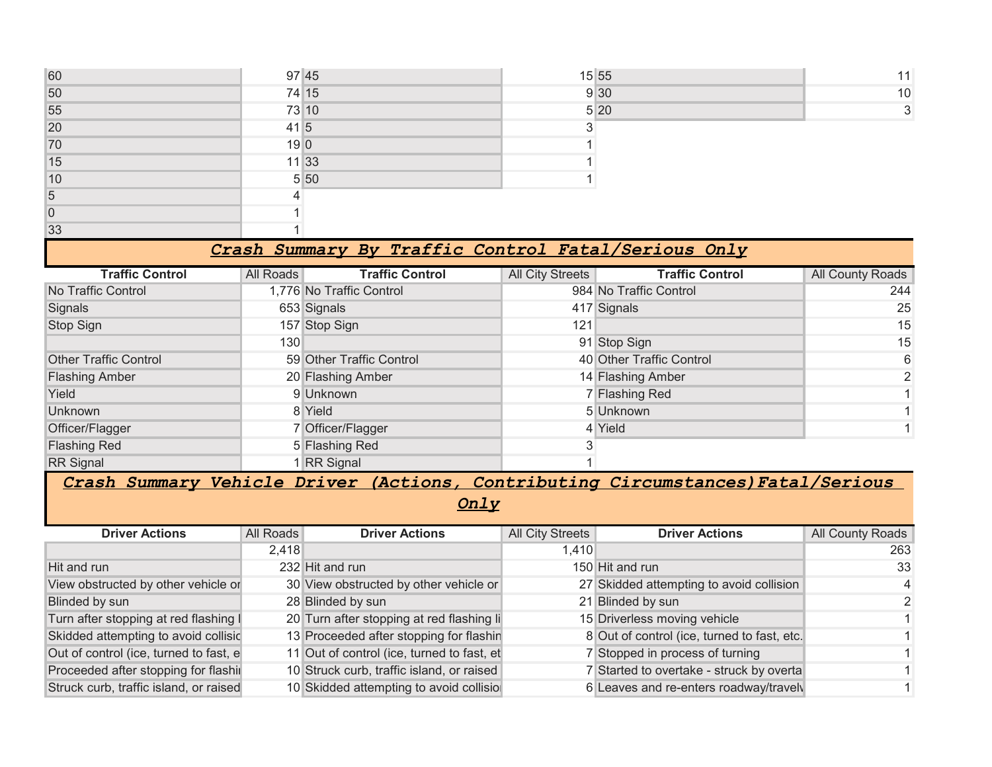| 60 |                  | 97 45 | 15 55 | 11           |
|----|------------------|-------|-------|--------------|
| 50 |                  | 74 15 | 9 30  | 10           |
| 55 |                  | 73 10 | 5 20  | $\mathbf{3}$ |
| 20 | $41\overline{5}$ |       |       |              |
| 70 | 190              |       |       |              |
| 15 |                  | 11 33 |       |              |
| 10 |                  | 5 50  |       |              |
| 5  |                  |       |       |              |
| 0  |                  |       |       |              |
| 33 |                  |       |       |              |

## *Crash Summary By Traffic Control Fatal/Serious Only*

| <b>Traffic Control</b>       | All Roads        | <b>Traffic Control</b>   | All City Streets | <b>Traffic Control</b>   | All County Roads |
|------------------------------|------------------|--------------------------|------------------|--------------------------|------------------|
| No Traffic Control           |                  | 1,776 No Traffic Control |                  | 984 No Traffic Control   | 244              |
| Signals                      |                  | 653 Signals              |                  | 417 Signals              | 25               |
| Stop Sign                    |                  | 157 Stop Sign            | 121              |                          | 15               |
|                              | 130 <sup>°</sup> |                          |                  | 91 Stop Sign             | 15               |
| <b>Other Traffic Control</b> |                  | 59 Other Traffic Control |                  | 40 Other Traffic Control | 6                |
| <b>Flashing Amber</b>        |                  | 20 Flashing Amber        |                  | 14 Flashing Amber        | 2                |
| Yield                        |                  | 9 Unknown                |                  | 7 Flashing Red           |                  |
| Unknown                      |                  | 8 Yield                  |                  | 5 Unknown                |                  |
| Officer/Flagger              |                  | 7 Officer/Flagger        |                  | 4 Yield                  |                  |
| <b>Flashing Red</b>          |                  | 5 Flashing Red           |                  |                          |                  |
| <b>RR</b> Signal             |                  | 1 RR Signal              |                  |                          |                  |

## *Crash Summary Vehicle Driver (Actions, Contributing Circumstances)Fatal/Serious*

*Only*

| <b>Driver Actions</b>                  | All Roads | <b>Driver Actions</b>                      | All City Streets | <b>Driver Actions</b>                       | <b>All County Roads</b> |
|----------------------------------------|-----------|--------------------------------------------|------------------|---------------------------------------------|-------------------------|
|                                        | 2,418     |                                            | 1,410            |                                             | 263                     |
| Hit and run                            |           | 232 Hit and run                            |                  | 150 Hit and run                             | 33                      |
| View obstructed by other vehicle or    |           | 30 View obstructed by other vehicle or     |                  | 27 Skidded attempting to avoid collision    | $\overline{4}$          |
| Blinded by sun                         |           | 28 Blinded by sun                          |                  | 21 Blinded by sun                           | 2                       |
| Turn after stopping at red flashing I  |           | 20 Turn after stopping at red flashing li  |                  | 15 Driverless moving vehicle                |                         |
| Skidded attempting to avoid collisic   |           | 13 Proceeded after stopping for flashin    |                  | 8 Out of control (ice, turned to fast, etc. |                         |
| Out of control (ice, turned to fast, e |           | 11 Out of control (ice, turned to fast, et |                  | 7 Stopped in process of turning             |                         |
| Proceeded after stopping for flashi    |           | 10 Struck curb, traffic island, or raised  |                  | 7 Started to overtake - struck by overta    |                         |
| Struck curb, traffic island, or raised |           | 10 Skidded attempting to avoid collisio    |                  | 6 Leaves and re-enters roadway/travely      |                         |